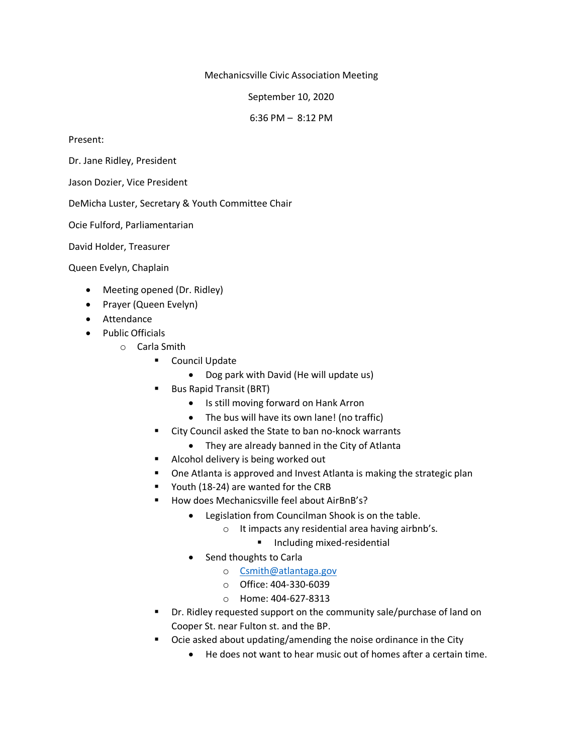Mechanicsville Civic Association Meeting

September 10, 2020

6:36 PM – 8:12 PM

Present:

Dr. Jane Ridley, President

Jason Dozier, Vice President

DeMicha Luster, Secretary & Youth Committee Chair

Ocie Fulford, Parliamentarian

David Holder, Treasurer

Queen Evelyn, Chaplain

- Meeting opened (Dr. Ridley)
- Prayer (Queen Evelyn)
- Attendance
- Public Officials
	- o Carla Smith
		- Council Update
			- Dog park with David (He will update us)
		- Bus Rapid Transit (BRT)
			- Is still moving forward on Hank Arron
			- The bus will have its own lane! (no traffic)
		- City Council asked the State to ban no-knock warrants
			- They are already banned in the City of Atlanta
		- Alcohol delivery is being worked out
		- One Atlanta is approved and Invest Atlanta is making the strategic plan
		- Youth (18-24) are wanted for the CRB
		- How does Mechanicsville feel about AirBnB's?
			- Legislation from Councilman Shook is on the table.
				- o It impacts any residential area having airbnb's.
					- Including mixed-residential
			- Send thoughts to Carla
				- o [Csmith@atlantaga.gov](mailto:Csmith@atlantaga.gov)
				- o Office: 404-330-6039
				- o Home: 404-627-8313
		- Dr. Ridley requested support on the community sale/purchase of land on Cooper St. near Fulton st. and the BP.
		- Ocie asked about updating/amending the noise ordinance in the City
			- He does not want to hear music out of homes after a certain time.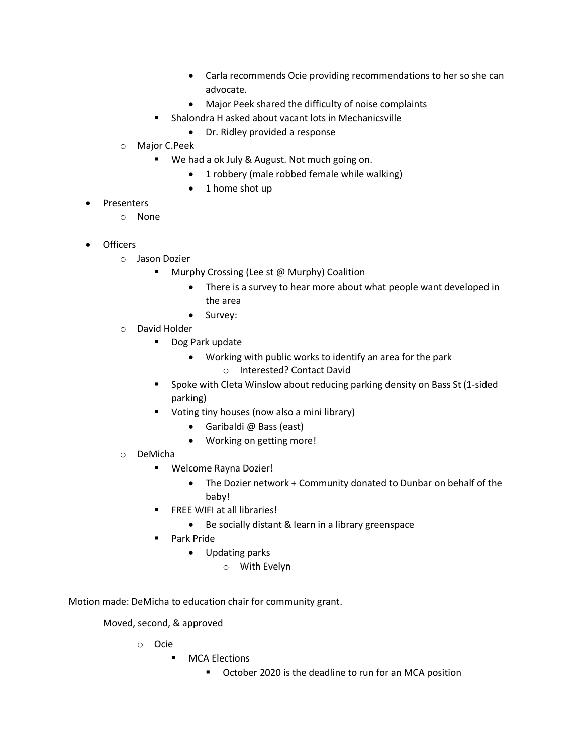- Carla recommends Ocie providing recommendations to her so she can advocate.
- Major Peek shared the difficulty of noise complaints
- Shalondra H asked about vacant lots in Mechanicsville
	- Dr. Ridley provided a response
- o Major C.Peek
	- We had a ok July & August. Not much going on.
		- 1 robbery (male robbed female while walking)
		- 1 home shot up
- **Presenters** 
	- o None
- Officers
	- o Jason Dozier
		- Murphy Crossing (Lee st @ Murphy) Coalition
			- There is a survey to hear more about what people want developed in the area
			- Survey:
	- o David Holder
		- Dog Park update
			- Working with public works to identify an area for the park
				- o Interested? Contact David
		- Spoke with Cleta Winslow about reducing parking density on Bass St (1-sided parking)
		- Voting tiny houses (now also a mini library)
			- Garibaldi @ Bass (east)
			- Working on getting more!
	- o DeMicha
		- Welcome Rayna Dozier!
			- The Dozier network + Community donated to Dunbar on behalf of the baby!
		- FREE WIFI at all libraries!
			- Be socially distant & learn in a library greenspace
		- Park Pride
			- Updating parks
				- o With Evelyn

Motion made: DeMicha to education chair for community grant.

Moved, second, & approved

- o Ocie
	- MCA Elections
		- October 2020 is the deadline to run for an MCA position